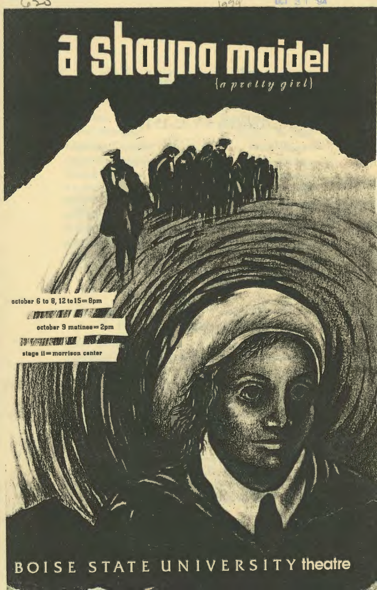# a shayna maidel

october 6 to 8, 12 to  $15 = 8$ pm **DESCRIPTION**  $october$  9 matinee $= 2pm$ **MARKET TO THE TIME**  $\epsilon$ iana ii $=$ morrison center

BOISE STATE UNIVERSITY theatre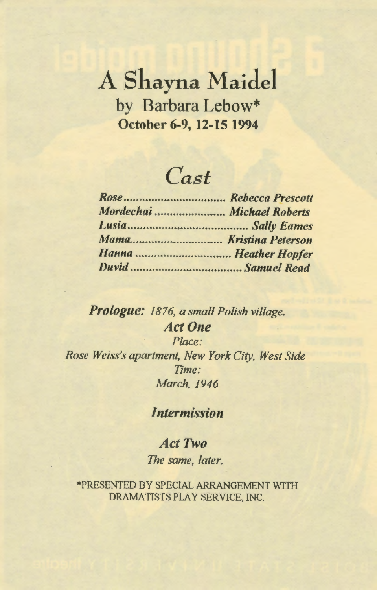### A Shayna Maidel by Barbara Lebow\* October 6-9, 12-15 1994

## *Cast*

| Mordechai  Michael Roberts |  |
|----------------------------|--|
|                            |  |
|                            |  |
|                            |  |
|                            |  |

#### *Prologue: 1876, a small Polish village. Act One Place:*

*Rose Weiss's apartment, New York City, West Side Time: March, 1946* 

#### *Intermission*

#### *Act Two The same, later.*

\*PRESENTED BY SPECIAL ARRANGEMENT WITH DRAMATISTS PLAY SERVICE, INC.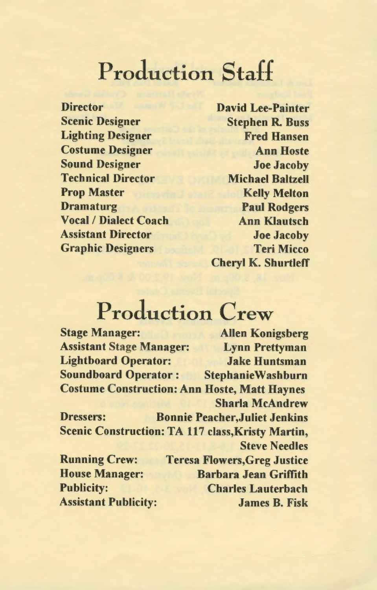## Production Staff

**Director** Scenic Designer Lighting Designer Costume Designer Sound Designer Technical Director Prop Master Dramaturg Vocal/ Dialect Coach Assistant Director Graphic Designers

David Lee-Painter Stephen R. Buss Fred Hansen Ann Hoste Joe Jacoby Michael Baltzell Kelly Melton Paul Rodgers Ann Klautsch Joe Jacoby Teri Micco Cheryl K. Shurtleff

# Production Crew

Stage Manager: Allen Konigsberg Assistant Stage Manager: Lynn Prettyman Lightboard Operator: Jake Huntsman Soundboard Operator: StephanieWashburn Costume Construction: Ann Hoste, Matt Haynes Sharla McAndrew Dressers: Bonnie Peacher,Juliet Jenkins Scenic Construction: TA 117 class, Kristy Martin, Steve Needles Running Crew: House Manager: Publicity: Assistant Publicity: Teresa Flowers,Greg Justice Barbara Jean Griffith Charles Lauterbach James B. Fisk